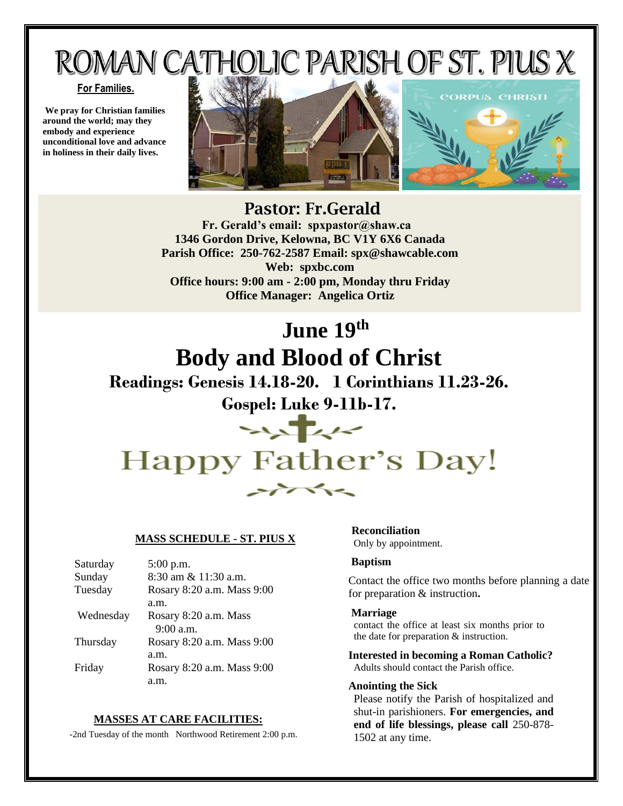# ROMAN CATHOLIC PARISH OF ST. PIUS X

#### **For Families.**

**We pray for Christian families around the world; may they embody and experience unconditional love and advance in holiness in their daily lives.**



## Pastor: Fr.Gerald

 **Fr. Gerald's email: spxpastor@shaw.ca 1346 Gordon Drive, Kelowna, BC V1Y 6X6 Canada Parish Office: 250-762-2587 Email: [spx@shawcable.com](mailto:spx@shawcable.com) Web: spxbc.com Office hours: 9:00 am - 2:00 pm, Monday thru Friday Office Manager: Angelica Ortiz**

# **June 19 th Body and Blood of Christ**

## **Readings: Genesis 14.18-20. 1 Corinthians 11.23-26.**

**Gospel: Luke 9-11b-17.**

# $\rightarrow$ Happy Father's Day!  $\rightarrow$

#### **MASS SCHEDULE - ST. PIUS X**

| Saturday  | 5:00 p.m.                  |
|-----------|----------------------------|
| Sunday    | 8:30 am & 11:30 a.m.       |
| Tuesday   | Rosary 8:20 a.m. Mass 9:00 |
|           | a.m.                       |
| Wednesday | Rosary 8:20 a.m. Mass      |
|           | $9:00$ a.m.                |
| Thursday  | Rosary 8:20 a.m. Mass 9:00 |
|           | a.m.                       |
| Friday    | Rosary 8:20 a.m. Mass 9:00 |
|           | a.m.                       |

#### **MASSES AT CARE FACILITIES:**

-2nd Tuesday of the month Northwood Retirement 2:00 p.m.

 **Reconciliation** Only by appointment.

#### **Baptism**

Contact the office two months before planning a date for preparation & instruction**.**

#### **Marriage**

contact the office at least six months prior to the date for preparation & instruction.

**Interested in becoming a Roman Catholic?** Adults should contact the Parish office.

#### **Anointing the Sick**

Please notify the Parish of hospitalized and shut-in parishioners. **For emergencies, and end of life blessings, please call** 250-878- 1502 at any time.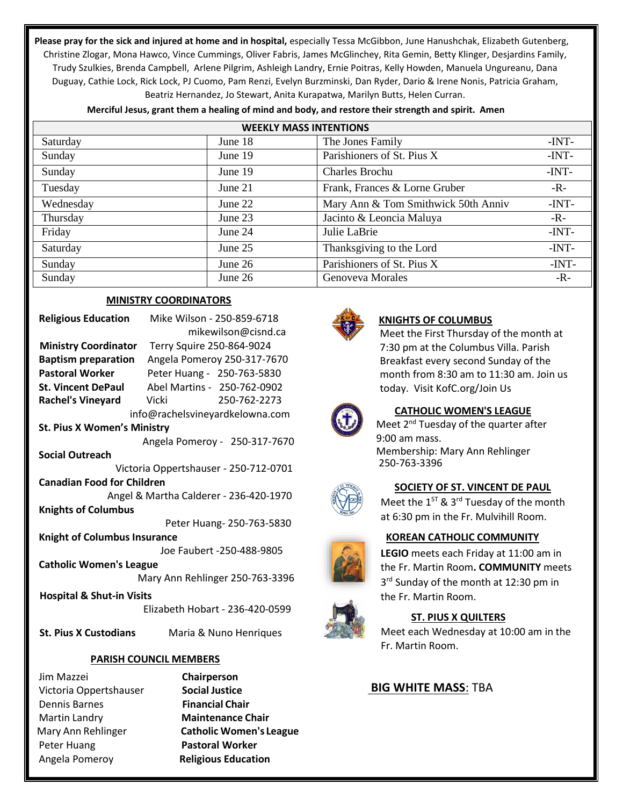**Please pray for the sick and injured at home and in hospital,** especially Tessa McGibbon, June Hanushchak, Elizabeth Gutenberg, Christine Zlogar, Mona Hawco, Vince Cummings, Oliver Fabris, James McGlinchey, Rita Gemin, Betty Klinger, Desjardins Family, Trudy Szulkies, Brenda Campbell, Arlene Pilgrim, Ashleigh Landry, Ernie Poitras, Kelly Howden, Manuela Ungureanu, Dana Duguay, Cathie Lock, Rick Lock, PJ Cuomo, Pam Renzi, Evelyn Burzminski, Dan Ryder, Dario & Irene Nonis, Patricia Graham, Beatriz Hernandez, Jo Stewart, Anita Kurapatwa, Marilyn Butts, Helen Curran.

| Merciful Jesus, grant them a healing of mind and body, and restore their strength and spirit. Amen |  |  |  |  |
|----------------------------------------------------------------------------------------------------|--|--|--|--|
|----------------------------------------------------------------------------------------------------|--|--|--|--|

| <b>WEEKLY MASS INTENTIONS</b> |           |                                     |         |  |  |
|-------------------------------|-----------|-------------------------------------|---------|--|--|
| Saturday                      | June 18   | The Jones Family                    | $-INT-$ |  |  |
| Sunday                        | June 19   | Parishioners of St. Pius X          | $-INT-$ |  |  |
| Sunday                        | June 19   | Charles Brochu                      | $-INT-$ |  |  |
| Tuesday                       | June $21$ | Frank, Frances & Lorne Gruber       | $-R -$  |  |  |
| Wednesday                     | June 22   | Mary Ann & Tom Smithwick 50th Anniv | $-INT-$ |  |  |
| Thursday                      | June 23   | Jacinto & Leoncia Maluya            | $-R-$   |  |  |
| Friday                        | June 24   | Julie LaBrie                        | $-INT-$ |  |  |
| Saturday                      | June $25$ | Thanksgiving to the Lord            | $-INT-$ |  |  |
| Sunday                        | June 26   | Parishioners of St. Pius X          | $-INT-$ |  |  |
| Sunday                        | June $26$ | Genoveva Morales                    | -R-     |  |  |

#### **MINISTRY COORDINATORS**

| <b>Religious Education</b>             | Mike Wilson - 250-859-6718      |  |  |
|----------------------------------------|---------------------------------|--|--|
|                                        | mikewilson@cisnd.ca             |  |  |
| <b>Ministry Coordinator</b>            | Terry Squire 250-864-9024       |  |  |
| <b>Baptism preparation</b>             | Angela Pomeroy 250-317-7670     |  |  |
| <b>Pastoral Worker</b>                 | Peter Huang - 250-763-5830      |  |  |
| <b>St. Vincent DePaul</b>              | Abel Martins - 250-762-0902     |  |  |
| Rachel's Vineyard Vicki                | 250-762-2273                    |  |  |
|                                        | info@rachelsvineyardkelowna.com |  |  |
| <b>St. Pius X Women's Ministry</b>     |                                 |  |  |
|                                        | Angela Pomeroy - 250-317-7670   |  |  |
| <b>Social Outreach</b>                 |                                 |  |  |
| Victoria Oppertshauser - 250-712-0701  |                                 |  |  |
| <b>Canadian Food for Children</b>      |                                 |  |  |
| Angel & Martha Calderer - 236-420-1970 |                                 |  |  |
| <b>Knights of Columbus</b>             |                                 |  |  |
| Peter Huang- 250-763-5830              |                                 |  |  |
| <b>Knight of Columbus Insurance</b>    |                                 |  |  |
| Joe Faubert -250-488-9805              |                                 |  |  |
| <b>Catholic Women's League</b>         |                                 |  |  |
| Mary Ann Rehlinger 250-763-3396        |                                 |  |  |
| <b>Hospital &amp; Shut-in Visits</b>   |                                 |  |  |
|                                        | Elizabeth Hobart - 236-420-0599 |  |  |
|                                        |                                 |  |  |

 **St. Pius X Custodians** Maria & Nuno Henriques

#### **PARISH COUNCIL MEMBERS**

Jim Mazzei **Chairperson**  Victoria Oppertshauser **Social Justice** Dennis Barnes **Financial Chair**  Martin Landry **Maintenance Chair**  Peter Huang **Pastoral Worker**  Angela Pomeroy **Religious Education**

Mary Ann Rehlinger **Catholic Women's League**



#### **KNIGHTS OF COLUMBUS**

Meet the First Thursday of the month at 7:30 pm at the Columbus Villa. Parish Breakfast every second Sunday of the month from 8:30 am to 11:30 am. Join us today. Visit KofC.org/Join Us



### **CATHOLIC WOMEN'S LEAGUE**

Meet 2<sup>nd</sup> Tuesday of the quarter after 9:00 am mass. Membership: Mary Ann Rehlinger 250-763-3396



#### **SOCIETY OF ST. VINCENT DE PAUL**

Meet the  $1^{ST}$  & 3<sup>rd</sup> Tuesday of the month at 6:30 pm in the Fr. Mulvihill Room.

#### **KOREAN CATHOLIC COMMUNITY**

**LEGIO** meets each Friday at 11:00 am in the Fr. Martin Room**. COMMUNITY** meets 3<sup>rd</sup> Sunday of the month at 12:30 pm in the Fr. Martin Room.



#### **ST. PIUS X QUILTERS**

Meet each Wednesday at 10:00 am in the Fr. Martin Room.

#### **BIG WHITE MASS**: TBA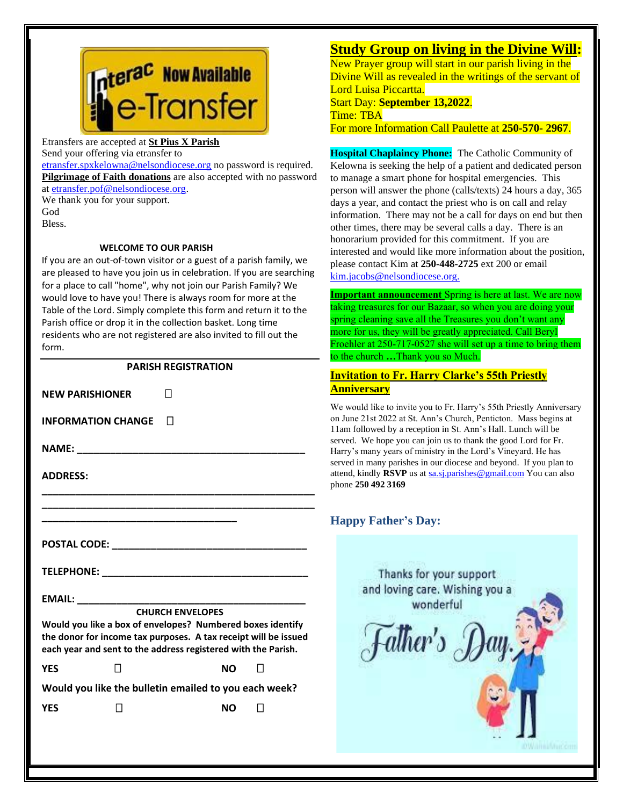

Etransfers are accepted at **St Pius X Parish**

Send your offering via etransfer to

[etransfer.spxkelowna@nelsondiocese.org](file:///C:/Users/SPXAdmin/Desktop/Bulletin/Bulletins%202022/etransfer.spxkelowna@nelsondiocese.org) no password is required. **Pilgrimage of Faith donations** are also accepted with no password at [etransfer.pof@nelsondiocese.org.](file:///C:/Users/SPXAdmin/Desktop/Bulletin/Bulletins%202022/etransfer.pof@nelsondiocese.org)

We thank you for your support. God Bless.

#### **WELCOME TO OUR PARISH**

If you are an out-of-town visitor or a guest of a parish family, we are pleased to have you join us in celebration. If you are searching for a place to call "home", why not join our Parish Family? We would love to have you! There is always room for more at the Table of the Lord. Simply complete this form and return it to the Parish office or drop it in the collection basket. Long time residents who are not registered are also invited to fill out the form.

#### **PARISH REGISTRATION**

**NEW PARISHIONER INFORMATION CHANGE NAME:**  $\blacksquare$ **ADDRESS: \_\_\_\_\_\_\_\_\_\_\_\_\_\_\_\_\_\_\_\_\_\_\_\_\_\_\_\_\_\_\_\_\_\_\_\_\_\_\_\_\_\_\_\_\_\_\_\_\_ \_\_\_\_\_\_\_\_\_\_\_\_\_\_\_\_\_\_\_\_\_\_\_\_\_\_\_\_\_\_\_\_\_\_\_\_\_\_\_\_\_\_\_\_\_\_\_\_\_ \_\_\_\_\_\_\_\_\_\_\_\_\_\_\_\_\_\_\_\_\_\_\_\_\_\_\_\_\_\_\_\_\_\_\_ POSTAL CODE:**  $\blacksquare$ **TELEPHONE: \_\_\_\_\_\_\_\_\_\_\_\_\_\_\_\_\_\_\_\_\_\_\_\_\_\_\_\_\_\_\_\_\_\_\_\_\_**

**EMAIL: \_\_\_\_\_\_\_\_\_\_\_\_\_\_\_\_\_\_\_\_\_\_\_\_\_\_\_\_\_\_\_\_\_\_\_\_\_\_\_\_\_**

#### **CHURCH ENVELOPES**

**Would you like a box of envelopes? Numbered boxes identify the donor for income tax purposes. A tax receipt will be issued each year and sent to the address registered with the Parish.**

**YES NO** 

**Would you like the bulletin emailed to you each week?**

**YES** □ NO □

## **Study Group on living in the Divine Will:**

**EXAMPLE OF START CONTROLLER IN THE PART OF START CONTROL** Divine Will as revealed in the writings of the servant of Lord Luisa Piccartta.

Start Day: **September 13,2022**.

Time: TBA

For more Information Call Paulette at **250-570- 2967**.

**Hospital Chaplaincy Phone:** The Catholic Community of Kelowna is seeking the help of a patient and dedicated person to manage a smart phone for hospital emergencies. This person will answer the phone (calls/texts) 24 hours a day, 365 days a year, and contact the priest who is on call and relay information. There may not be a call for days on end but then other times, there may be several calls a day. There is an honorarium provided for this commitment. If you are interested and would like more information about the position, please contact Kim at **250-448-2725** ext 200 or email [kim.jacobs@nelsondiocese.org.](file:///C:/Users/SPXAdmin/Desktop/Bulletin/Bulletins%202022/kim.jacobs@nelsondiocese.org)

**Important announcement** Spring is here at last. We are now taking treasures for our Bazaar, so when you are doing your spring cleaning save all the Treasures you don't want any more for us, they will be greatly appreciated. Call Beryl Froehler at 250-717-0527 she will set up a time to bring them to the church **…**Thank you so Much.

#### **Invitation to Fr. Harry Clarke's 55th Priestly Anniversary**

We would like to invite you to Fr. Harry's 55th Priestly Anniversary 11am followed by a reception in St. Ann's Hall. Lunch will be on June 21st 2022 at St. Ann's Church, Penticton. Mass begins at served. We hope you can join us to thank the good Lord for Fr. Harry's many years of ministry in the Lord's Vineyard. He has served in many parishes in our diocese and beyond. If you plan to attend, kindly **RSVP** us a[t sa.sj.parishes@gmail.com](sa.sj.parishes@gmail.com%20) You can also phone **250 492 3169**

### **Happy Father's Day:**